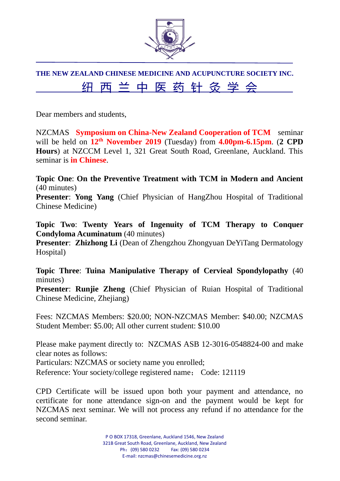

**THE NEW ZEALAND CHINESE MEDICINE AND ACUPUNCTURE SOCIETY INC.** 纽 西 兰 中 医 药 针 灸 学 会

Dear members and students,

NZCMAS **Symposium on China-New Zealand Cooperation of TCM** seminar will be held on **12th November 2019** (Tuesday) from **4.00pm-6.15pm**. (**2 CPD Hours**) at NZCCM Level 1, 321 Great South Road, Greenlane, Auckland. This seminar is **in Chinese**.

**Topic One**: **On the Preventive Treatment with TCM in Modern and Ancient** (40 minutes)

**Presenter**: **Yong Yang** (Chief Physician of HangZhou Hospital of Traditional Chinese Medicine)

**Topic Two**: **Twenty Years of Ingenuity of TCM Therapy to Conquer Condyloma Acuminatum** (40 minutes)

**Presenter**: **Zhizhong Li** (Dean of Zhengzhou Zhongyuan DeYiTang Dermatology Hospital)

**Topic Three**: **Tuina Manipulative Therapy of Cervieal Spondylopathy** (40 minutes)

**Presenter**: **Runjie Zheng** (Chief Physician of Ruian Hospital of Traditional Chinese Medicine, Zheijang)

Fees: NZCMAS Members: \$20.00; NON-NZCMAS Member: \$40.00; NZCMAS Student Member: \$5.00; All other current student: \$10.00

Please make payment directly to: NZCMAS ASB 12-3016-0548824-00 and make clear notes as follows: Particulars: NZCMAS or society name you enrolled; Reference: Your society/college registered name; Code: 121119

CPD Certificate will be issued upon both your payment and attendance, no certificate for none attendance sign-on and the payment would be kept for NZCMAS next seminar. We will not process any refund if no attendance for the second seminar.